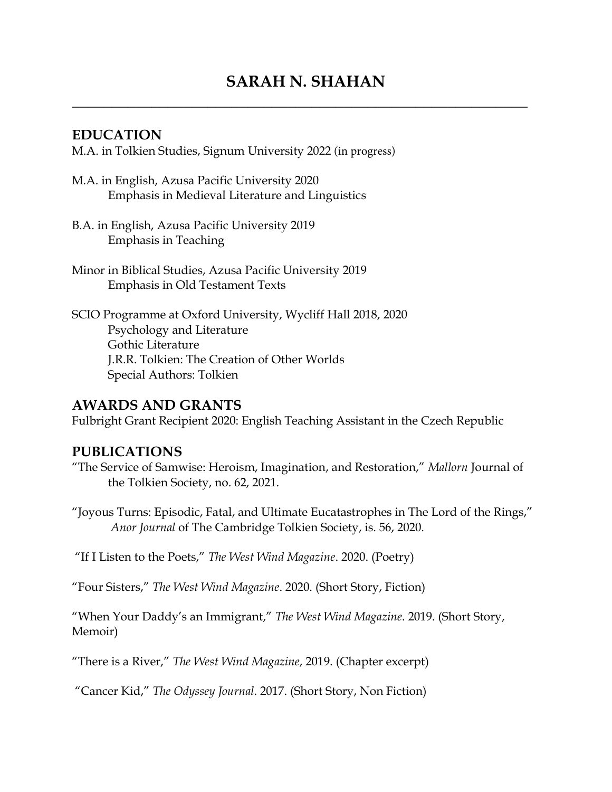# **SARAH N. SHAHAN**

**\_\_\_\_\_\_\_\_\_\_\_\_\_\_\_\_\_\_\_\_\_\_\_\_\_\_\_\_\_\_\_\_\_\_\_\_\_\_\_\_\_\_\_\_\_\_\_\_\_\_\_\_\_\_\_\_\_** 

#### **EDUCATION**

M.A. in Tolkien Studies, Signum University 2022 (in progress)

- M.A. in English, Azusa Pacific University 2020 Emphasis in Medieval Literature and Linguistics
- B.A. in English, Azusa Pacific University 2019 Emphasis in Teaching
- Minor in Biblical Studies, Azusa Pacific University 2019 Emphasis in Old Testament Texts
- SCIO Programme at Oxford University, Wycliff Hall 2018, 2020 Psychology and Literature Gothic Literature J.R.R. Tolkien: The Creation of Other Worlds Special Authors: Tolkien

#### **AWARDS AND GRANTS**

Fulbright Grant Recipient 2020: English Teaching Assistant in the Czech Republic

#### **PUBLICATIONS**

- "The Service of Samwise: Heroism, Imagination, and Restoration," *Mallorn* Journal of the Tolkien Society, no. 62, 2021.
- "Joyous Turns: Episodic, Fatal, and Ultimate Eucatastrophes in The Lord of the Rings," *Anor Journal* of The Cambridge Tolkien Society, is. 56, 2020.

"If I Listen to the Poets," *The West Wind Magazine*. 2020. (Poetry)

"Four Sisters," *The West Wind Magazine*. 2020. (Short Story, Fiction)

"When Your Daddy's an Immigrant," *The West Wind Magazine*. 2019. (Short Story, Memoir)

"There is a River," *The West Wind Magazine*, 2019. (Chapter excerpt)

"Cancer Kid," *The Odyssey Journal*. 2017. (Short Story, Non Fiction)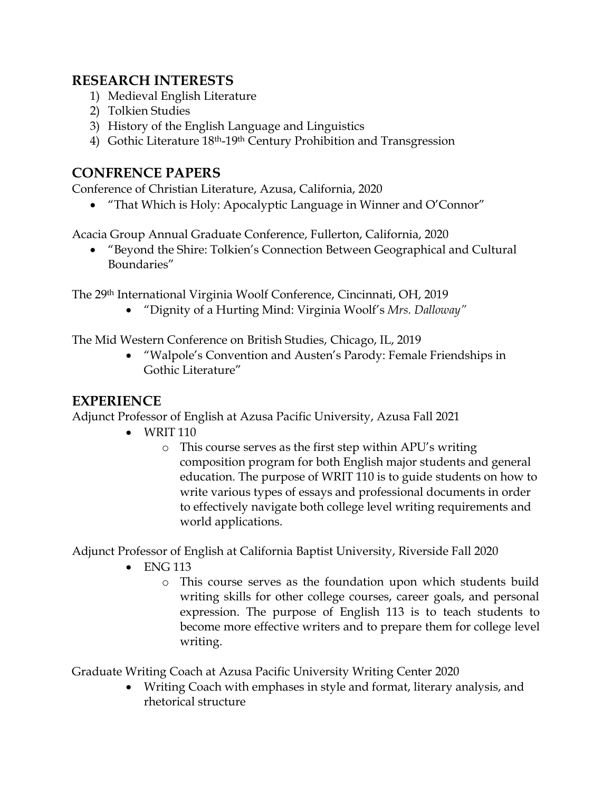## **RESEARCH INTERESTS**

- 1) Medieval English Literature
- 2) Tolkien Studies
- 3) History of the English Language and Linguistics
- 4) Gothic Literature 18<sup>th</sup>-19<sup>th</sup> Century Prohibition and Transgression

#### **CONFRENCE PAPERS**

Conference of Christian Literature, Azusa, California, 2020

• "That Which is Holy: Apocalyptic Language in Winner and O'Connor"

Acacia Group Annual Graduate Conference, Fullerton, California, 2020

• "Beyond the Shire: Tolkien's Connection Between Geographical and Cultural Boundaries"

The 29th International Virginia Woolf Conference, Cincinnati, OH, 2019

• "Dignity of a Hurting Mind: Virginia Woolf's *Mrs. Dalloway"*

The Mid Western Conference on British Studies, Chicago, IL, 2019

• "Walpole's Convention and Austen's Parody: Female Friendships in Gothic Literature"

## **EXPERIENCE**

Adjunct Professor of English at Azusa Pacific University, Azusa Fall 2021

- WRIT 110
	- o This course serves as the first step within APU's writing composition program for both English major students and general education. The purpose of WRIT 110 is to guide students on how to write various types of essays and professional documents in order to effectively navigate both college level writing requirements and world applications.

Adjunct Professor of English at California Baptist University, Riverside Fall 2020

- ENG 113
	- o This course serves as the foundation upon which students build writing skills for other college courses, career goals, and personal expression. The purpose of English 113 is to teach students to become more effective writers and to prepare them for college level writing.

Graduate Writing Coach at Azusa Pacific University Writing Center 2020

• Writing Coach with emphases in style and format, literary analysis, and rhetorical structure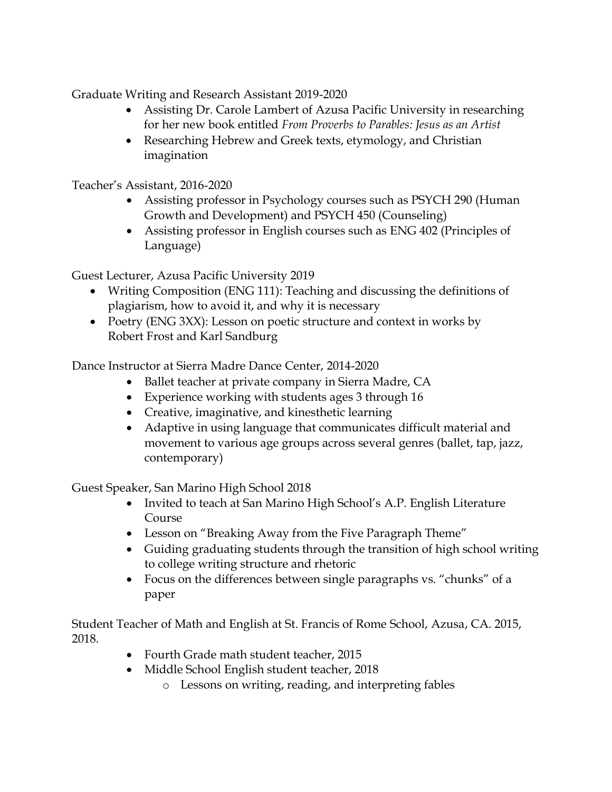Graduate Writing and Research Assistant 2019-2020

- Assisting Dr. Carole Lambert of Azusa Pacific University in researching for her new book entitled *From Proverbs to Parables: Jesus as an Artist*
- Researching Hebrew and Greek texts, etymology, and Christian imagination

Teacher's Assistant, 2016-2020

- Assisting professor in Psychology courses such as PSYCH 290 (Human Growth and Development) and PSYCH 450 (Counseling)
- Assisting professor in English courses such as ENG 402 (Principles of Language)

Guest Lecturer, Azusa Pacific University 2019

- Writing Composition (ENG 111): Teaching and discussing the definitions of plagiarism, how to avoid it, and why it is necessary
- Poetry (ENG 3XX): Lesson on poetic structure and context in works by Robert Frost and Karl Sandburg

Dance Instructor at Sierra Madre Dance Center, 2014-2020

- Ballet teacher at private company in Sierra Madre, CA
- Experience working with students ages 3 through 16
- Creative, imaginative, and kinesthetic learning
- Adaptive in using language that communicates difficult material and movement to various age groups across several genres (ballet, tap, jazz, contemporary)

Guest Speaker, San Marino High School 2018

- Invited to teach at San Marino High School's A.P. English Literature Course
- Lesson on "Breaking Away from the Five Paragraph Theme"
- Guiding graduating students through the transition of high school writing to college writing structure and rhetoric
- Focus on the differences between single paragraphs vs. "chunks" of a paper

Student Teacher of Math and English at St. Francis of Rome School, Azusa, CA. 2015, 2018.

- Fourth Grade math student teacher, 2015
- Middle School English student teacher, 2018
	- o Lessons on writing, reading, and interpreting fables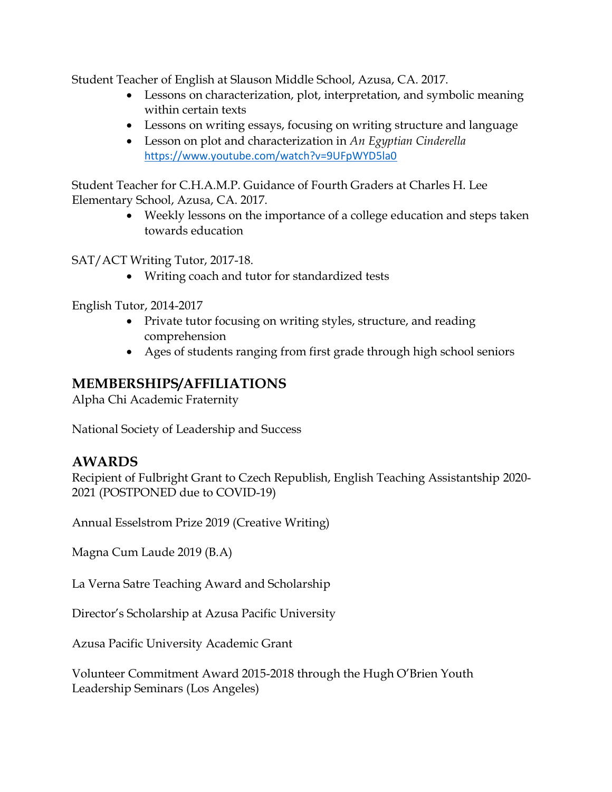Student Teacher of English at Slauson Middle School, Azusa, CA. 2017.

- Lessons on characterization, plot, interpretation, and symbolic meaning within certain texts
- Lessons on writing essays, focusing on writing structure and language
- Lesson on plot and characterization in *An Egyptian Cinderella* <https://www.youtube.com/watch?v=9UFpWYD5la0>

Student Teacher for C.H.A.M.P. Guidance of Fourth Graders at Charles H. Lee Elementary School, Azusa, CA. 2017.

> • Weekly lessons on the importance of a college education and steps taken towards education

SAT/ACT Writing Tutor, 2017-18.

• Writing coach and tutor for standardized tests

English Tutor, 2014-2017

- Private tutor focusing on writing styles, structure, and reading comprehension
- Ages of students ranging from first grade through high school seniors

# **MEMBERSHIPS/AFFILIATIONS**

Alpha Chi Academic Fraternity

National Society of Leadership and Success

#### **AWARDS**

Recipient of Fulbright Grant to Czech Republish, English Teaching Assistantship 2020- 2021 (POSTPONED due to COVID-19)

Annual Esselstrom Prize 2019 (Creative Writing)

Magna Cum Laude 2019 (B.A)

La Verna Satre Teaching Award and Scholarship

Director's Scholarship at Azusa Pacific University

Azusa Pacific University Academic Grant

Volunteer Commitment Award 2015-2018 through the Hugh O'Brien Youth Leadership Seminars (Los Angeles)